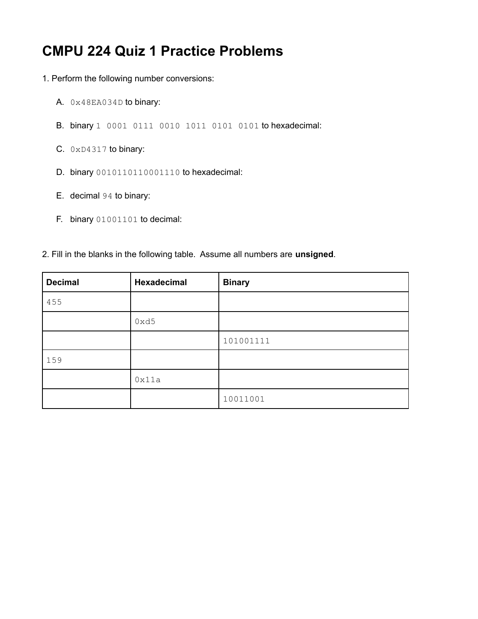## **CMPU 224 Quiz 1 Practice Problems**

- 1. Perform the following number conversions:
	- A. 0x48EA034D to binary:
	- B. binary 1 0001 0111 0010 1011 0101 0101 to hexadecimal:
	- C. 0xD4317 to binary:
	- D. binary 0010110110001110 to hexadecimal:
	- E. decimal 94 to binary:
	- F. binary 01001101 to decimal:
- 2. Fill in the blanks in the following table. Assume all numbers are **unsigned**.

| <b>Decimal</b> | <b>Hexadecimal</b> | <b>Binary</b> |
|----------------|--------------------|---------------|
| 455            |                    |               |
|                | 0xd5               |               |
|                |                    | 101001111     |
| 159            |                    |               |
|                | 0x11a              |               |
|                |                    | 10011001      |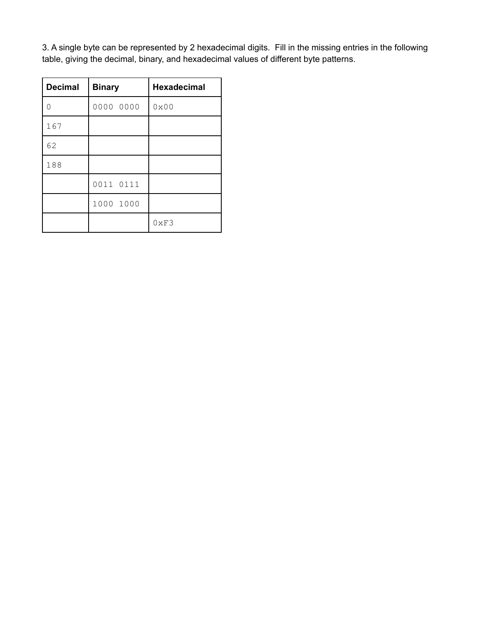3. A single byte can be represented by 2 hexadecimal digits. Fill in the missing entries in the following table, giving the decimal, binary, and hexadecimal values of different byte patterns.

| <b>Decimal</b> | <b>Binary</b> | <b>Hexadecimal</b> |
|----------------|---------------|--------------------|
| $\Omega$       | 0000 0000     | $0 \times 00$      |
| 167            |               |                    |
| 62             |               |                    |
| 188            |               |                    |
|                | 0011 0111     |                    |
|                | 1000 1000     |                    |
|                |               | 0xF3               |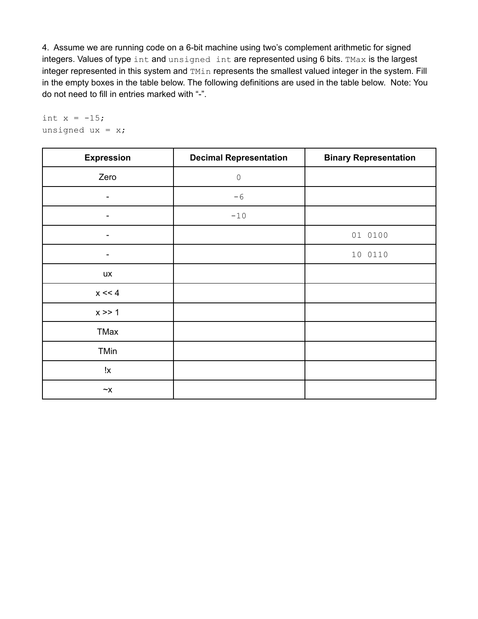4. Assume we are running code on a 6-bit machine using two's complement arithmetic for signed integers. Values of type int and unsigned int are represented using 6 bits. TMax is the largest integer represented in this system and TMin represents the smallest valued integer in the system. Fill in the empty boxes in the table below. The following definitions are used in the table below. Note: You do not need to fill in entries marked with "-".

```
int x = -15;unsigned ux = x;
```

| <b>Expression</b>                     | <b>Decimal Representation</b> | <b>Binary Representation</b> |
|---------------------------------------|-------------------------------|------------------------------|
| Zero                                  | $\circledcirc$                |                              |
| -                                     | $-6$                          |                              |
| $\overline{\phantom{a}}$              | $-10$                         |                              |
| $\overline{\phantom{a}}$              |                               | 01 0100                      |
| -                                     |                               | 10 0110                      |
| <b>UX</b>                             |                               |                              |
| $x \ll 4$                             |                               |                              |
| x >> 1                                |                               |                              |
| TMax                                  |                               |                              |
| TMin                                  |                               |                              |
| !x                                    |                               |                              |
| $\mathord{\sim} \mathord{\mathsf{X}}$ |                               |                              |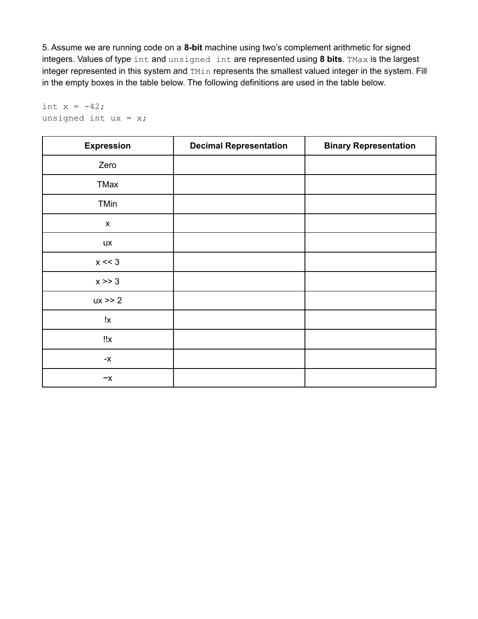5. Assume we are running code on a **8-bit** machine using two's complement arithmetic for signed integers. Values of type int and unsigned int are represented using **8 bits**. TMax is the largest integer represented in this system and TMin represents the smallest valued integer in the system. Fill in the empty boxes in the table below. The following definitions are used in the table below.

```
int x = -42;unsigned int ux = x;
```

| <b>Expression</b>                     | <b>Decimal Representation</b> | <b>Binary Representation</b> |
|---------------------------------------|-------------------------------|------------------------------|
| Zero                                  |                               |                              |
| TMax                                  |                               |                              |
| TMin                                  |                               |                              |
| $\pmb{\mathsf{X}}$                    |                               |                              |
| ux                                    |                               |                              |
| $x \ll 3$                             |                               |                              |
| $x \gg 3$                             |                               |                              |
| $ux \ge 2$                            |                               |                              |
| !x                                    |                               |                              |
| !!x                                   |                               |                              |
| $\mathord{\text{-x}}$                 |                               |                              |
| $\mathord{\sim} \mathord{\mathsf{X}}$ |                               |                              |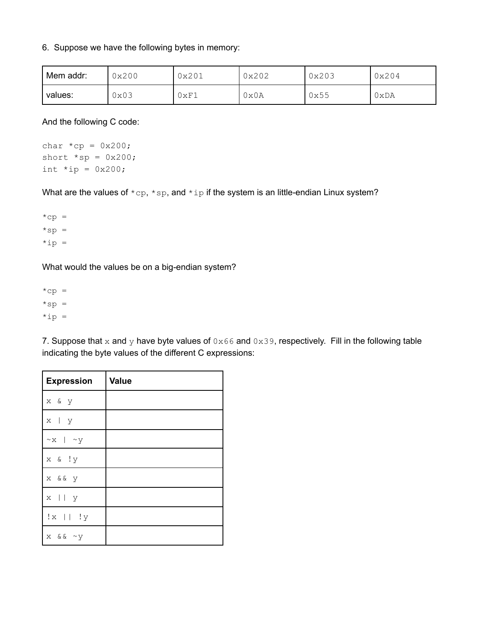## 6. Suppose we have the following bytes in memory:

| Mem addr: | 0x200 |      | 0x202 | 0x203 | 0x204 |
|-----------|-------|------|-------|-------|-------|
| values:   | 0x03  | 0xF1 | 0x0A  | 0x55  | 0xDA  |

And the following C code:

char  $*cp = 0x200;$ short  $*sp = 0x200$ ; int  $*ip = 0x200;$ 

What are the values of  $*$ cp,  $*$ sp, and  $*$ ip if the system is an little-endian Linux system?

 $*$ cp =  $*sp =$  $*ip =$ 

What would the values be on a big-endian system?

 $*$ cp =  $*sp =$  $*ip =$ 

7. Suppose that x and y have byte values of  $0 \times 66$  and  $0 \times 39$ , respectively. Fill in the following table indicating the byte values of the different C expressions:

| <b>Expression</b>   | <b>Value</b> |
|---------------------|--------------|
| x & y               |              |
| x   y               |              |
| $\sim$ x   $\sim$ y |              |
| x & !y              |              |
| x & & y             |              |
| $x \mid \mid y$     |              |
| $ x $   $ y $       |              |
| $x \&x \sim y$      |              |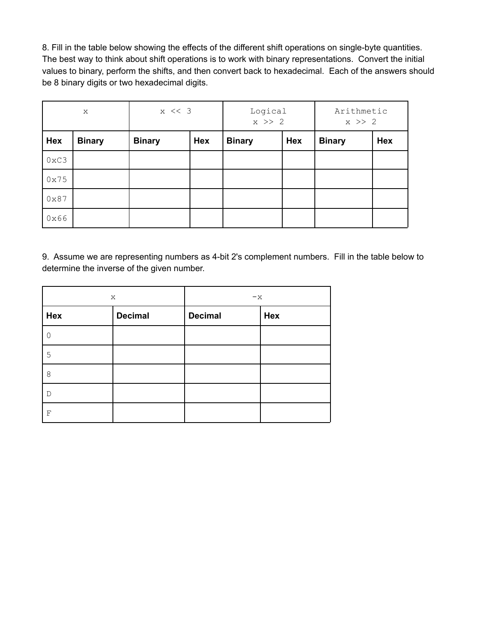8. Fill in the table below showing the effects of the different shift operations on single-byte quantities. The best way to think about shift operations is to work with binary representations. Convert the initial values to binary, perform the shifts, and then convert back to hexadecimal. Each of the answers should be 8 binary digits or two hexadecimal digits.

| $\mathbf{x}$  |               | $x \leq 3$    |     | Logical<br>$x \gg 2$ |            | Arithmetic<br>$x \gg 2$ |            |
|---------------|---------------|---------------|-----|----------------------|------------|-------------------------|------------|
| <b>Hex</b>    | <b>Binary</b> | <b>Binary</b> | Hex | <b>Binary</b>        | <b>Hex</b> | <b>Binary</b>           | <b>Hex</b> |
| $0 \times C3$ |               |               |     |                      |            |                         |            |
| 0x75          |               |               |     |                      |            |                         |            |
| $0 \times 87$ |               |               |     |                      |            |                         |            |
| 0x66          |               |               |     |                      |            |                         |            |

9. Assume we are representing numbers as 4-bit 2's complement numbers. Fill in the table below to determine the inverse of the given number.

| X   |                | $-x$ |     |  |
|-----|----------------|------|-----|--|
| Hex | <b>Decimal</b> |      | Hex |  |
|     |                |      |     |  |
| 5   |                |      |     |  |
| 8   |                |      |     |  |
| D   |                |      |     |  |
| F   |                |      |     |  |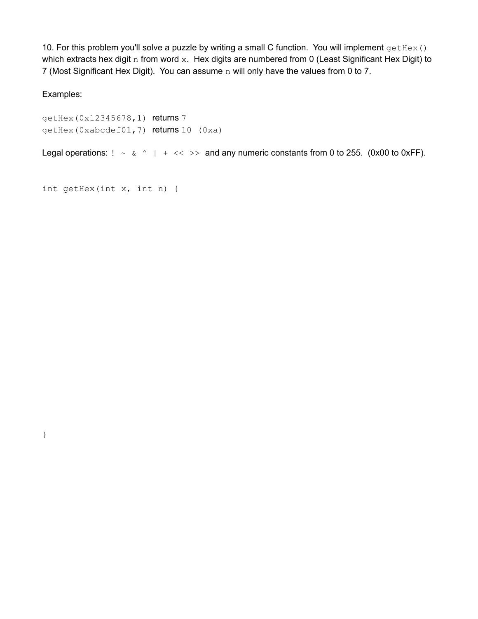10. For this problem you'll solve a puzzle by writing a small C function. You will implement  $q$ etHex() which extracts hex digit n from word x. Hex digits are numbered from 0 (Least Significant Hex Digit) to 7 (Most Significant Hex Digit). You can assume n will only have the values from 0 to 7.

Examples:

}

getHex(0x12345678,1) returns 7 getHex(0xabcdef01,7) returns 10 (0xa)

Legal operations:  $! \sim \alpha \land | + \ll \gg$  and any numeric constants from 0 to 255. (0x00 to 0xFF).

```
int getHex(int x, int n) {
```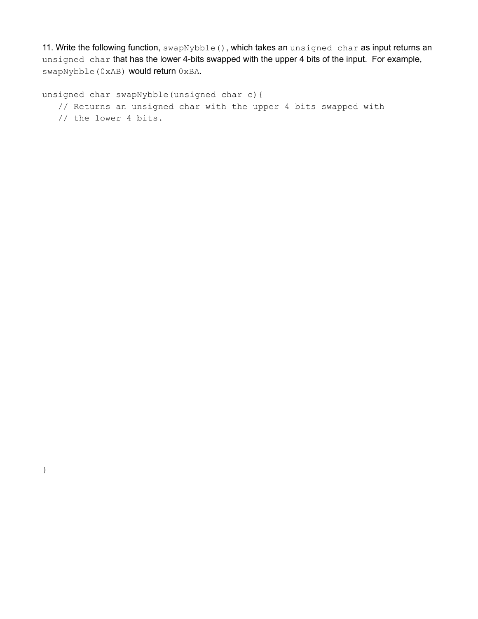11. Write the following function, swapNybble(), which takes an unsigned char as input returns an unsigned char that has the lower 4-bits swapped with the upper 4 bits of the input. For example, swapNybble(0xAB) would return 0xBA.

unsigned char swapNybble(unsigned char c){ // Returns an unsigned char with the upper 4 bits swapped with // the lower 4 bits.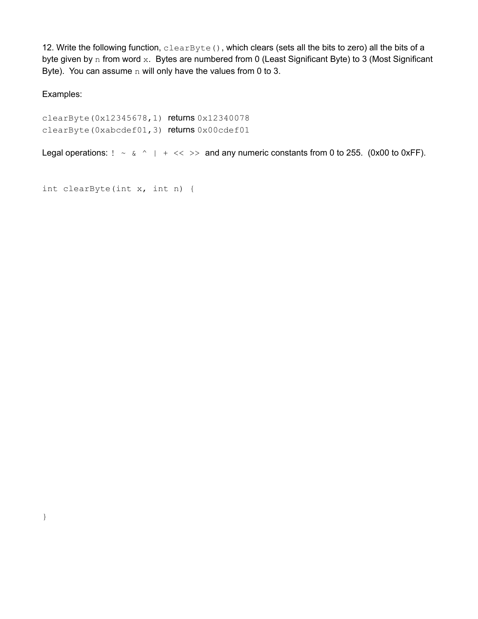12. Write the following function, clearByte(), which clears (sets all the bits to zero) all the bits of a byte given by n from word x. Bytes are numbered from 0 (Least Significant Byte) to 3 (Most Significant Byte). You can assume  $n$  will only have the values from 0 to 3.

Examples:

clearByte(0x12345678,1) returns 0x12340078 clearByte(0xabcdef01,3) returns 0x00cdef01

Legal operations:  $! \sim \alpha \land | + \ll \gg$  and any numeric constants from 0 to 255. (0x00 to 0xFF).

```
int clearByte(int x, int n) {
```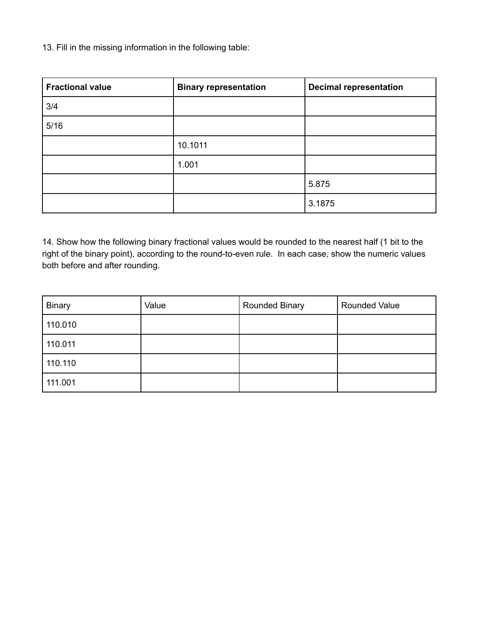13. Fill in the missing information in the following table:

| <b>Fractional value</b> | <b>Binary representation</b> | <b>Decimal representation</b> |
|-------------------------|------------------------------|-------------------------------|
| 3/4                     |                              |                               |
| 5/16                    |                              |                               |
|                         | 10.1011                      |                               |
|                         | 1.001                        |                               |
|                         |                              | 5.875                         |
|                         |                              | 3.1875                        |

14. Show how the following binary fractional values would be rounded to the nearest half (1 bit to the right of the binary point), according to the round-to-even rule. In each case, show the numeric values both before and after rounding.

| <b>Binary</b> | Value | <b>Rounded Binary</b> | <b>Rounded Value</b> |
|---------------|-------|-----------------------|----------------------|
| 110.010       |       |                       |                      |
| 110.011       |       |                       |                      |
| 110.110       |       |                       |                      |
| 111.001       |       |                       |                      |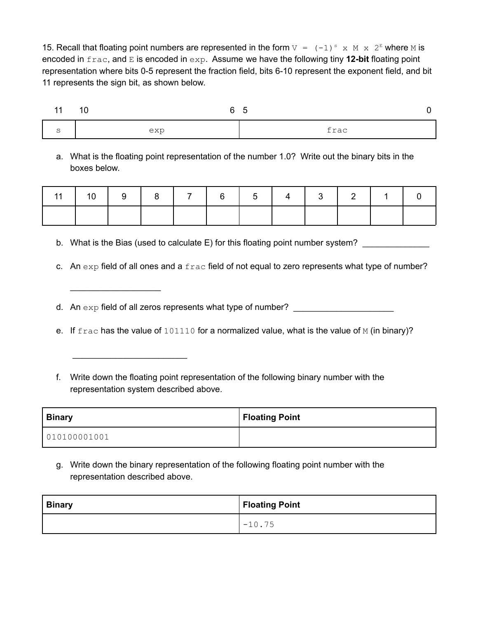15. Recall that floating point numbers are represented in the form  $V = (-1)^s$  x M x  $2^E$  where M is encoded in frac, and E is encoded in exp. Assume we have the following tiny **12-bit** floating point representation where bits 0-5 represent the fraction field, bits 6-10 represent the exponent field, and bit 11 represents the sign bit, as shown below.

| 11 | $-10$<br>6 5 |      |
|----|--------------|------|
|    | exp          | frac |

a. What is the floating point representation of the number 1.0? Write out the binary bits in the boxes below.

|  |  |  |  | 11   10   9   8   7   6   5   4   3   2   1   1 |  |
|--|--|--|--|-------------------------------------------------|--|
|  |  |  |  |                                                 |  |

b. What is the Bias (used to calculate E) for this floating point number system?

c. An  $\exp$  field of all ones and a  $\text{frac}$  field of not equal to zero represents what type of number?

d. An  $\exp$  field of all zeros represents what type of number?

\_\_\_\_\_\_\_\_\_\_\_\_\_\_\_\_\_\_\_

\_\_\_\_\_\_\_\_\_\_\_\_\_\_\_\_\_\_\_\_\_\_\_\_

- e. If  $frac$  has the value of  $101110$  for a normalized value, what is the value of M (in binary)?
- f. Write down the floating point representation of the following binary number with the representation system described above.

| <b>Binary</b> | <b>Floating Point</b> |
|---------------|-----------------------|
| 010100001001  |                       |

g. Write down the binary representation of the following floating point number with the representation described above.

| <b>Binary</b> | Floating Point |
|---------------|----------------|
|               | $-10.75$       |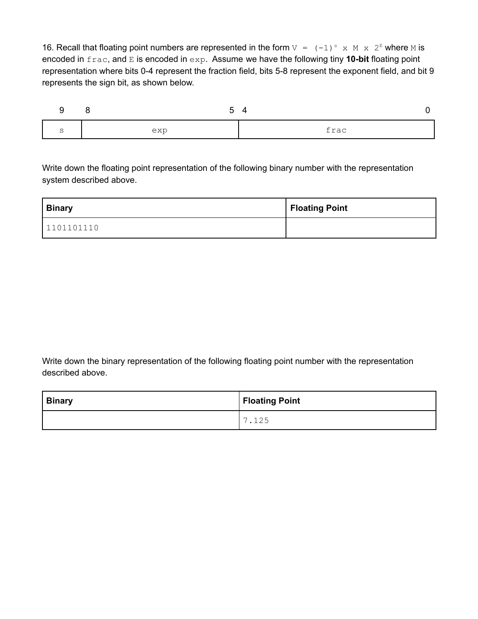16. Recall that floating point numbers are represented in the form  $V = (-1)^s$  x M x  $2^E$  where M is encoded in frac, and E is encoded in exp. Assume we have the following tiny **10-bit** floating point representation where bits 0-4 represent the fraction field, bits 5-8 represent the exponent field, and bit 9 represents the sign bit, as shown below.

| ∽<br>ັ | exp | frac |
|--------|-----|------|

Write down the floating point representation of the following binary number with the representation system described above.

| <b>Binary</b> | Floating Point |
|---------------|----------------|
| 1101101110    |                |

Write down the binary representation of the following floating point number with the representation described above.

| <b>Binary</b> | Floating Point           |
|---------------|--------------------------|
|               | $\overline{\phantom{0}}$ |